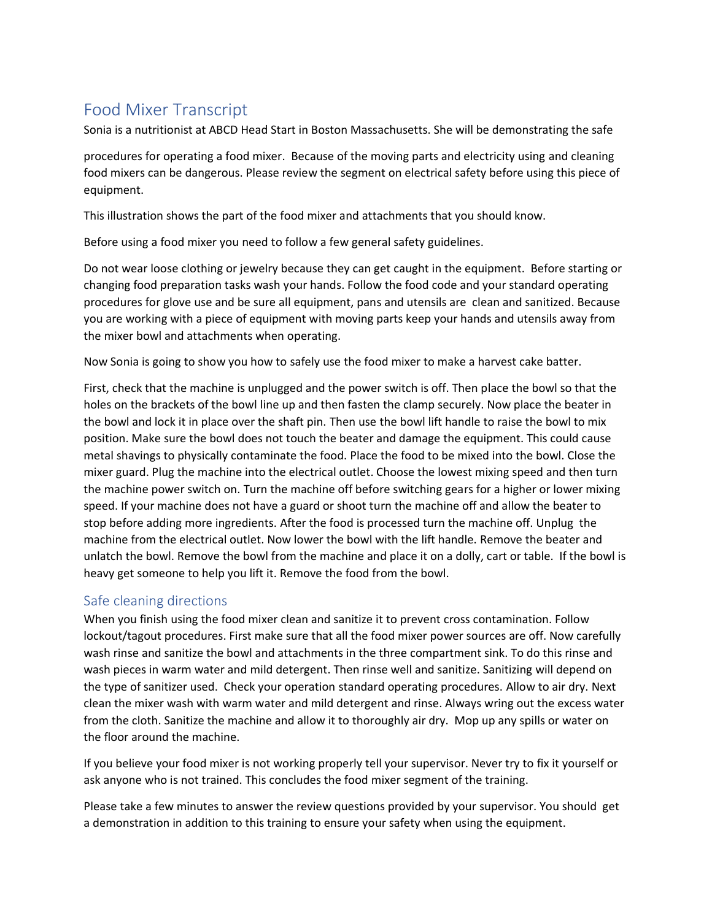## Food Mixer Transcript

Sonia is a nutritionist at ABCD Head Start in Boston Massachusetts. She will be demonstrating the safe

procedures for operating a food mixer. Because of the moving parts and electricity using and cleaning food mixers can be dangerous. Please review the segment on electrical safety before using this piece of equipment.

This illustration shows the part of the food mixer and attachments that you should know.

Before using a food mixer you need to follow a few general safety guidelines.

Do not wear loose clothing or jewelry because they can get caught in the equipment. Before starting or changing food preparation tasks wash your hands. Follow the food code and your standard operating procedures for glove use and be sure all equipment, pans and utensils are clean and sanitized. Because you are working with a piece of equipment with moving parts keep your hands and utensils away from the mixer bowl and attachments when operating.

Now Sonia is going to show you how to safely use the food mixer to make a harvest cake batter.

First, check that the machine is unplugged and the power switch is off. Then place the bowl so that the holes on the brackets of the bowl line up and then fasten the clamp securely. Now place the beater in the bowl and lock it in place over the shaft pin. Then use the bowl lift handle to raise the bowl to mix position. Make sure the bowl does not touch the beater and damage the equipment. This could cause metal shavings to physically contaminate the food. Place the food to be mixed into the bowl. Close the mixer guard. Plug the machine into the electrical outlet. Choose the lowest mixing speed and then turn the machine power switch on. Turn the machine off before switching gears for a higher or lower mixing speed. If your machine does not have a guard or shoot turn the machine off and allow the beater to stop before adding more ingredients. After the food is processed turn the machine off. Unplug the machine from the electrical outlet. Now lower the bowl with the lift handle. Remove the beater and unlatch the bowl. Remove the bowl from the machine and place it on a dolly, cart or table. If the bowl is heavy get someone to help you lift it. Remove the food from the bowl.

## Safe cleaning directions

When you finish using the food mixer clean and sanitize it to prevent cross contamination. Follow lockout/tagout procedures. First make sure that all the food mixer power sources are off. Now carefully wash rinse and sanitize the bowl and attachments in the three compartment sink. To do this rinse and wash pieces in warm water and mild detergent. Then rinse well and sanitize. Sanitizing will depend on the type of sanitizer used. Check your operation standard operating procedures. Allow to air dry. Next clean the mixer wash with warm water and mild detergent and rinse. Always wring out the excess water from the cloth. Sanitize the machine and allow it to thoroughly air dry. Mop up any spills or water on the floor around the machine.

If you believe your food mixer is not working properly tell your supervisor. Never try to fix it yourself or ask anyone who is not trained. This concludes the food mixer segment of the training.

Please take a few minutes to answer the review questions provided by your supervisor. You should get a demonstration in addition to this training to ensure your safety when using the equipment.